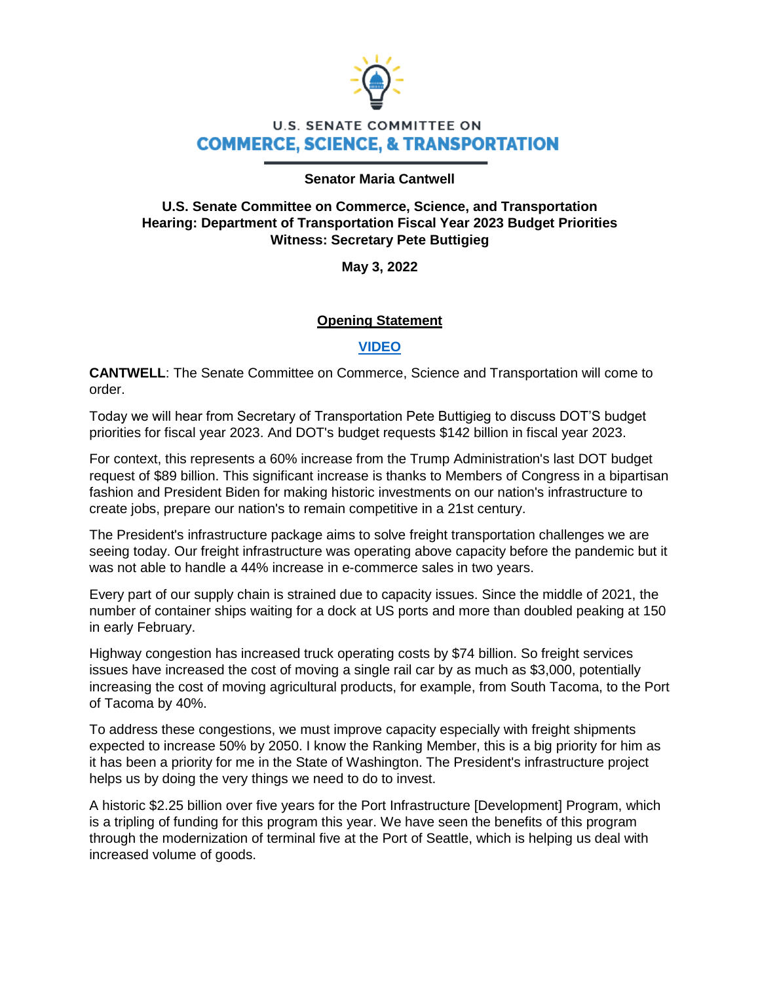

# **U.S. SENATE COMMITTEE ON COMMERCE, SCIENCE, & TRANSPORTATION**

#### **Senator Maria Cantwell**

## **U.S. Senate Committee on Commerce, Science, and Transportation Hearing: Department of Transportation Fiscal Year 2023 Budget Priorities Witness: Secretary Pete Buttigieg**

**May 3, 2022**

# **Opening Statement**

### **[VIDEO](https://www.youtube.com/watch?v=t3wXtK0IEM4)**

**CANTWELL**: The Senate Committee on Commerce, Science and Transportation will come to order.

Today we will hear from Secretary of Transportation Pete Buttigieg to discuss DOT'S budget priorities for fiscal year 2023. And DOT's budget requests \$142 billion in fiscal year 2023.

For context, this represents a 60% increase from the Trump Administration's last DOT budget request of \$89 billion. This significant increase is thanks to Members of Congress in a bipartisan fashion and President Biden for making historic investments on our nation's infrastructure to create jobs, prepare our nation's to remain competitive in a 21st century.

The President's infrastructure package aims to solve freight transportation challenges we are seeing today. Our freight infrastructure was operating above capacity before the pandemic but it was not able to handle a 44% increase in e-commerce sales in two years.

Every part of our supply chain is strained due to capacity issues. Since the middle of 2021, the number of container ships waiting for a dock at US ports and more than doubled peaking at 150 in early February.

Highway congestion has increased truck operating costs by \$74 billion. So freight services issues have increased the cost of moving a single rail car by as much as \$3,000, potentially increasing the cost of moving agricultural products, for example, from South Tacoma, to the Port of Tacoma by 40%.

To address these congestions, we must improve capacity especially with freight shipments expected to increase 50% by 2050. I know the Ranking Member, this is a big priority for him as it has been a priority for me in the State of Washington. The President's infrastructure project helps us by doing the very things we need to do to invest.

A historic \$2.25 billion over five years for the Port Infrastructure [Development] Program, which is a tripling of funding for this program this year. We have seen the benefits of this program through the modernization of terminal five at the Port of Seattle, which is helping us deal with increased volume of goods.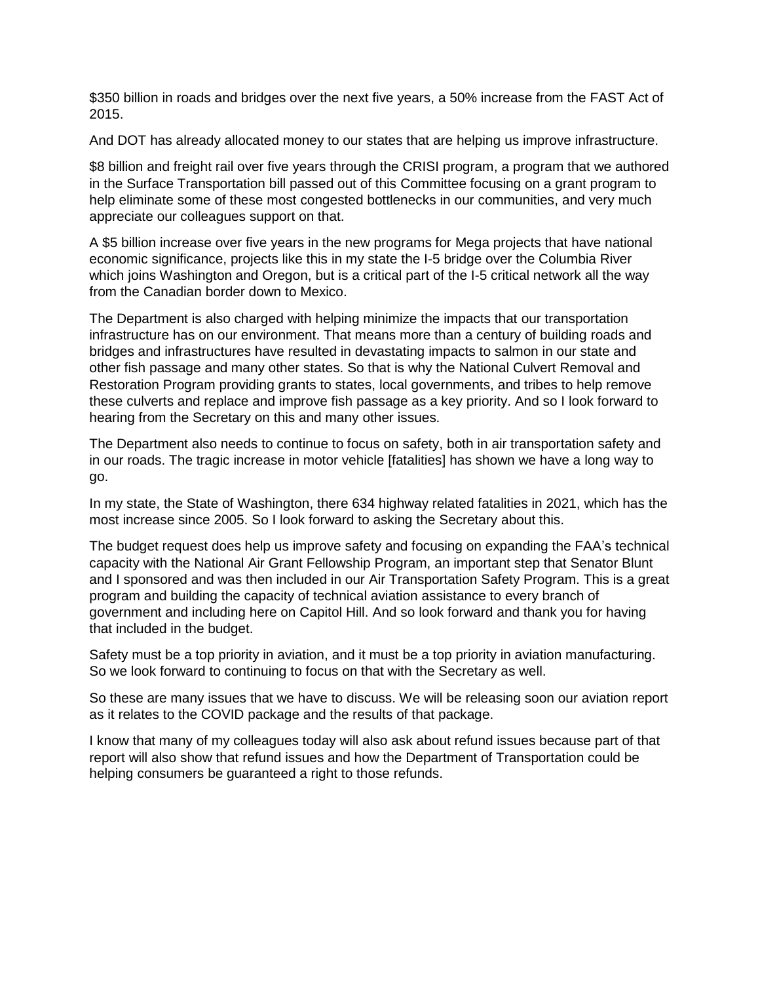\$350 billion in roads and bridges over the next five years, a 50% increase from the FAST Act of 2015.

And DOT has already allocated money to our states that are helping us improve infrastructure.

\$8 billion and freight rail over five years through the CRISI program, a program that we authored in the Surface Transportation bill passed out of this Committee focusing on a grant program to help eliminate some of these most congested bottlenecks in our communities, and very much appreciate our colleagues support on that.

A \$5 billion increase over five years in the new programs for Mega projects that have national economic significance, projects like this in my state the I-5 bridge over the Columbia River which joins Washington and Oregon, but is a critical part of the I-5 critical network all the way from the Canadian border down to Mexico.

The Department is also charged with helping minimize the impacts that our transportation infrastructure has on our environment. That means more than a century of building roads and bridges and infrastructures have resulted in devastating impacts to salmon in our state and other fish passage and many other states. So that is why the National Culvert Removal and Restoration Program providing grants to states, local governments, and tribes to help remove these culverts and replace and improve fish passage as a key priority. And so I look forward to hearing from the Secretary on this and many other issues.

The Department also needs to continue to focus on safety, both in air transportation safety and in our roads. The tragic increase in motor vehicle [fatalities] has shown we have a long way to go.

In my state, the State of Washington, there 634 highway related fatalities in 2021, which has the most increase since 2005. So I look forward to asking the Secretary about this.

The budget request does help us improve safety and focusing on expanding the FAA's technical capacity with the National Air Grant Fellowship Program, an important step that Senator Blunt and I sponsored and was then included in our Air Transportation Safety Program. This is a great program and building the capacity of technical aviation assistance to every branch of government and including here on Capitol Hill. And so look forward and thank you for having that included in the budget.

Safety must be a top priority in aviation, and it must be a top priority in aviation manufacturing. So we look forward to continuing to focus on that with the Secretary as well.

So these are many issues that we have to discuss. We will be releasing soon our aviation report as it relates to the COVID package and the results of that package.

I know that many of my colleagues today will also ask about refund issues because part of that report will also show that refund issues and how the Department of Transportation could be helping consumers be guaranteed a right to those refunds.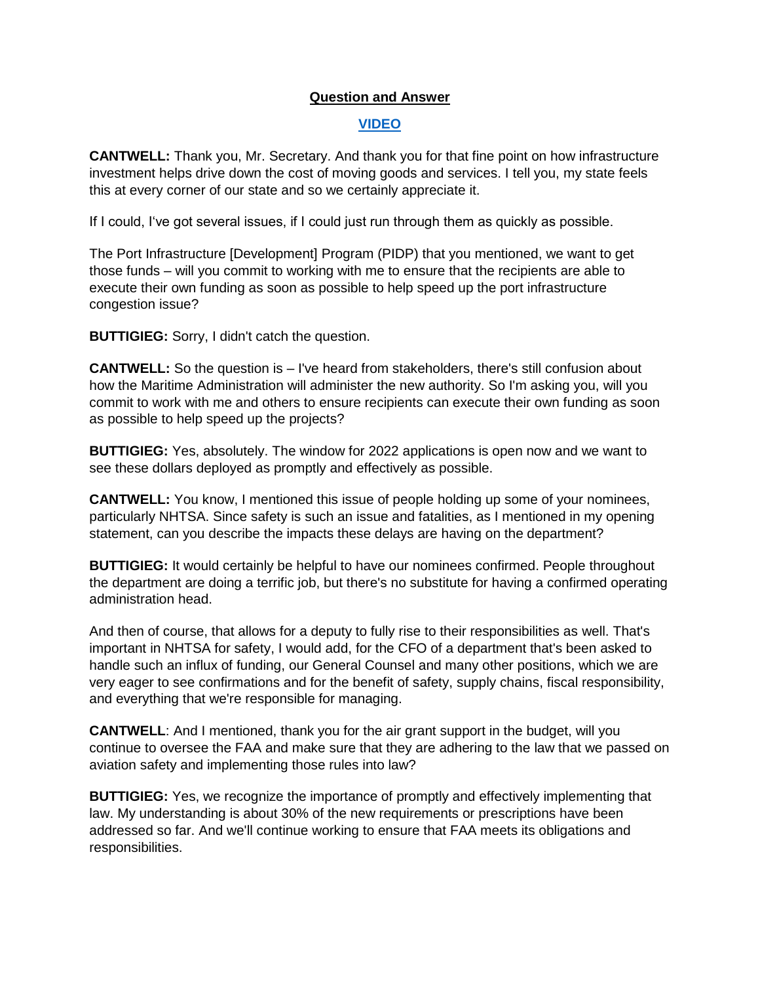### **Question and Answer**

## **[VIDEO](https://www.youtube.com/watch?v=RfNRdDjGY1o)**

**CANTWELL:** Thank you, Mr. Secretary. And thank you for that fine point on how infrastructure investment helps drive down the cost of moving goods and services. I tell you, my state feels this at every corner of our state and so we certainly appreciate it.

If I could, I've got several issues, if I could just run through them as quickly as possible.

The Port Infrastructure [Development] Program (PIDP) that you mentioned, we want to get those funds – will you commit to working with me to ensure that the recipients are able to execute their own funding as soon as possible to help speed up the port infrastructure congestion issue?

**BUTTIGIEG:** Sorry, I didn't catch the question.

**CANTWELL:** So the question is – I've heard from stakeholders, there's still confusion about how the Maritime Administration will administer the new authority. So I'm asking you, will you commit to work with me and others to ensure recipients can execute their own funding as soon as possible to help speed up the projects?

**BUTTIGIEG:** Yes, absolutely. The window for 2022 applications is open now and we want to see these dollars deployed as promptly and effectively as possible.

**CANTWELL:** You know, I mentioned this issue of people holding up some of your nominees, particularly NHTSA. Since safety is such an issue and fatalities, as I mentioned in my opening statement, can you describe the impacts these delays are having on the department?

**BUTTIGIEG:** It would certainly be helpful to have our nominees confirmed. People throughout the department are doing a terrific job, but there's no substitute for having a confirmed operating administration head.

And then of course, that allows for a deputy to fully rise to their responsibilities as well. That's important in NHTSA for safety, I would add, for the CFO of a department that's been asked to handle such an influx of funding, our General Counsel and many other positions, which we are very eager to see confirmations and for the benefit of safety, supply chains, fiscal responsibility, and everything that we're responsible for managing.

**CANTWELL**: And I mentioned, thank you for the air grant support in the budget, will you continue to oversee the FAA and make sure that they are adhering to the law that we passed on aviation safety and implementing those rules into law?

**BUTTIGIEG:** Yes, we recognize the importance of promptly and effectively implementing that law. My understanding is about 30% of the new requirements or prescriptions have been addressed so far. And we'll continue working to ensure that FAA meets its obligations and responsibilities.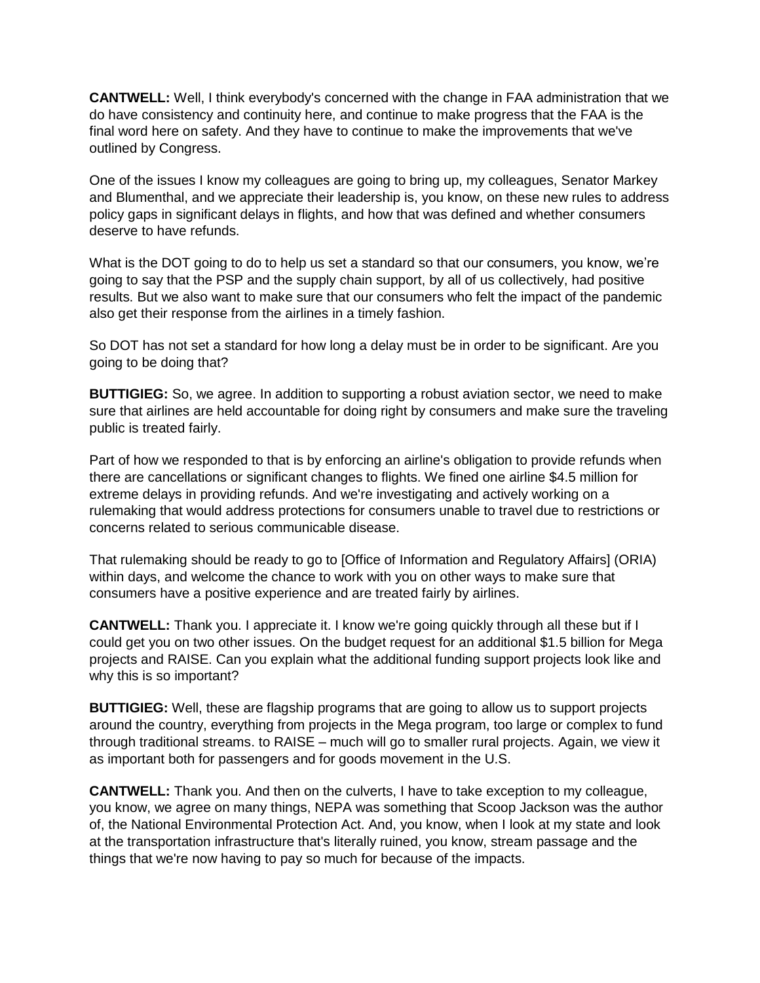**CANTWELL:** Well, I think everybody's concerned with the change in FAA administration that we do have consistency and continuity here, and continue to make progress that the FAA is the final word here on safety. And they have to continue to make the improvements that we've outlined by Congress.

One of the issues I know my colleagues are going to bring up, my colleagues, Senator Markey and Blumenthal, and we appreciate their leadership is, you know, on these new rules to address policy gaps in significant delays in flights, and how that was defined and whether consumers deserve to have refunds.

What is the DOT going to do to help us set a standard so that our consumers, you know, we're going to say that the PSP and the supply chain support, by all of us collectively, had positive results. But we also want to make sure that our consumers who felt the impact of the pandemic also get their response from the airlines in a timely fashion.

So DOT has not set a standard for how long a delay must be in order to be significant. Are you going to be doing that?

**BUTTIGIEG:** So, we agree. In addition to supporting a robust aviation sector, we need to make sure that airlines are held accountable for doing right by consumers and make sure the traveling public is treated fairly.

Part of how we responded to that is by enforcing an airline's obligation to provide refunds when there are cancellations or significant changes to flights. We fined one airline \$4.5 million for extreme delays in providing refunds. And we're investigating and actively working on a rulemaking that would address protections for consumers unable to travel due to restrictions or concerns related to serious communicable disease.

That rulemaking should be ready to go to [Office of Information and Regulatory Affairs] (ORIA) within days, and welcome the chance to work with you on other ways to make sure that consumers have a positive experience and are treated fairly by airlines.

**CANTWELL:** Thank you. I appreciate it. I know we're going quickly through all these but if I could get you on two other issues. On the budget request for an additional \$1.5 billion for Mega projects and RAISE. Can you explain what the additional funding support projects look like and why this is so important?

**BUTTIGIEG:** Well, these are flagship programs that are going to allow us to support projects around the country, everything from projects in the Mega program, too large or complex to fund through traditional streams. to RAISE – much will go to smaller rural projects. Again, we view it as important both for passengers and for goods movement in the U.S.

**CANTWELL:** Thank you. And then on the culverts, I have to take exception to my colleague, you know, we agree on many things, NEPA was something that Scoop Jackson was the author of, the National Environmental Protection Act. And, you know, when I look at my state and look at the transportation infrastructure that's literally ruined, you know, stream passage and the things that we're now having to pay so much for because of the impacts.